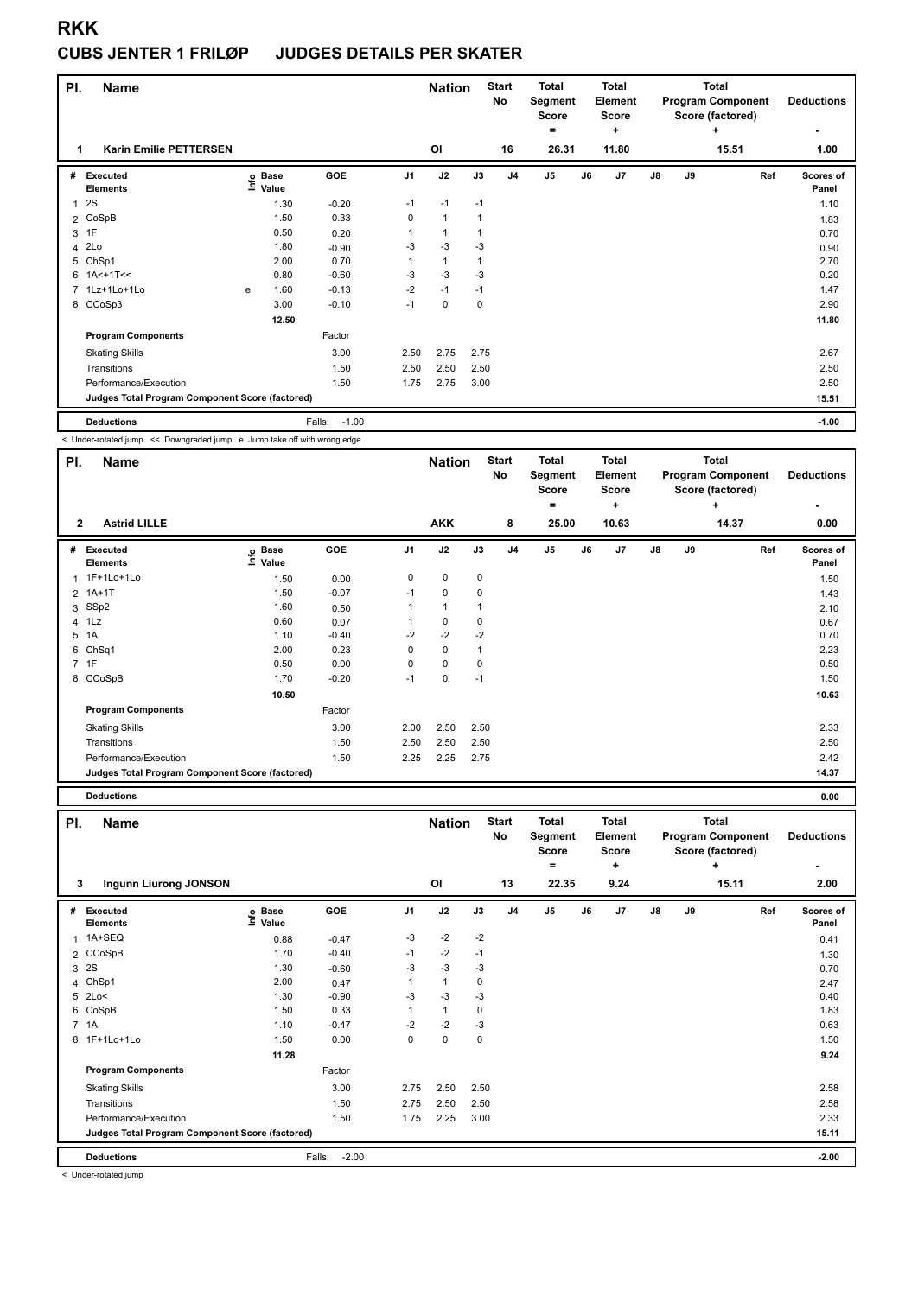### **CUBS JENTER 1 FRILØP JUDGES DETAILS PER SKATER**

| PI.            | <b>Name</b>                                     |   |                            |                   |                | <b>Nation</b>  |             | <b>Start</b><br>No | <b>Total</b><br>Segment<br><b>Score</b><br>$\equiv$ |    | <b>Total</b><br>Element<br><b>Score</b><br>٠ |               |    | <b>Total</b><br><b>Program Component</b><br>Score (factored)<br>÷ | <b>Deductions</b><br>۰ |
|----------------|-------------------------------------------------|---|----------------------------|-------------------|----------------|----------------|-------------|--------------------|-----------------------------------------------------|----|----------------------------------------------|---------------|----|-------------------------------------------------------------------|------------------------|
| 1              | <b>Karin Emilie PETTERSEN</b>                   |   |                            |                   |                | OI             |             | 16                 | 26.31                                               |    | 11.80                                        |               |    | 15.51                                                             | 1.00                   |
| #              | Executed<br><b>Elements</b>                     |   | e Base<br>E Value<br>Value | <b>GOE</b>        | J <sub>1</sub> | J2             | J3          | J <sub>4</sub>     | J <sub>5</sub>                                      | J6 | J7                                           | $\mathsf{J}8$ | J9 | Ref                                                               | Scores of<br>Panel     |
| 1              | 2S                                              |   | 1.30                       | $-0.20$           | $-1$           | $-1$           | $-1$        |                    |                                                     |    |                                              |               |    |                                                                   | 1.10                   |
|                | 2 CoSpB                                         |   | 1.50                       | 0.33              | 0              | $\overline{1}$ | $\mathbf 1$ |                    |                                                     |    |                                              |               |    |                                                                   | 1.83                   |
|                | 3 1F                                            |   | 0.50                       | 0.20              | 1              | $\overline{1}$ | $\mathbf 1$ |                    |                                                     |    |                                              |               |    |                                                                   | 0.70                   |
| 4              | 2Lo                                             |   | 1.80                       | $-0.90$           | $-3$           | $-3$           | $-3$        |                    |                                                     |    |                                              |               |    |                                                                   | 0.90                   |
| 5              | ChSp1                                           |   | 2.00                       | 0.70              | 1              | $\mathbf{1}$   | $\mathbf 1$ |                    |                                                     |    |                                              |               |    |                                                                   | 2.70                   |
|                | $6$ 1A<+1T<<                                    |   | 0.80                       | $-0.60$           | $-3$           | $-3$           | $-3$        |                    |                                                     |    |                                              |               |    |                                                                   | 0.20                   |
| $\overline{7}$ | 1Lz+1Lo+1Lo                                     | e | 1.60                       | $-0.13$           | $-2$           | $-1$           | $-1$        |                    |                                                     |    |                                              |               |    |                                                                   | 1.47                   |
|                | 8 CCoSp3                                        |   | 3.00                       | $-0.10$           | $-1$           | 0              | 0           |                    |                                                     |    |                                              |               |    |                                                                   | 2.90                   |
|                |                                                 |   | 12.50                      |                   |                |                |             |                    |                                                     |    |                                              |               |    |                                                                   | 11.80                  |
|                | <b>Program Components</b>                       |   |                            | Factor            |                |                |             |                    |                                                     |    |                                              |               |    |                                                                   |                        |
|                | <b>Skating Skills</b>                           |   |                            | 3.00              | 2.50           | 2.75           | 2.75        |                    |                                                     |    |                                              |               |    |                                                                   | 2.67                   |
|                | Transitions                                     |   |                            | 1.50              | 2.50           | 2.50           | 2.50        |                    |                                                     |    |                                              |               |    |                                                                   | 2.50                   |
|                | Performance/Execution                           |   |                            | 1.50              | 1.75           | 2.75           | 3.00        |                    |                                                     |    |                                              |               |    |                                                                   | 2.50                   |
|                | Judges Total Program Component Score (factored) |   |                            |                   |                |                |             |                    |                                                     |    |                                              |               |    |                                                                   | 15.51                  |
|                | <b>Deductions</b>                               |   |                            | $-1.00$<br>Falls: |                |                |             |                    |                                                     |    |                                              |               |    |                                                                   | $-1.00$                |

< Under-rotated jump << Downgraded jump e Jump take off with wrong edge

| PI.          | <b>Name</b>                                     |                              |            |                | <b>Nation</b> |      | <b>Start</b><br>No | <b>Total</b><br>Segment<br><b>Score</b><br>۰ |    | <b>Total</b><br>Element<br><b>Score</b><br>٠ |               |    | <b>Total</b><br><b>Program Component</b><br>Score (factored)<br>÷ | <b>Deductions</b>  |
|--------------|-------------------------------------------------|------------------------------|------------|----------------|---------------|------|--------------------|----------------------------------------------|----|----------------------------------------------|---------------|----|-------------------------------------------------------------------|--------------------|
| $\mathbf{2}$ | <b>Astrid LILLE</b>                             |                              |            |                | <b>AKK</b>    |      | 8                  | 25.00                                        |    | 10.63                                        |               |    | 14.37                                                             | 0.00               |
| #            | Executed<br><b>Elements</b>                     | <b>Base</b><br>١nfo<br>Value | <b>GOE</b> | J <sub>1</sub> | J2            | J3   | J <sub>4</sub>     | J <sub>5</sub>                               | J6 | J7                                           | $\mathsf{J}8$ | J9 | Ref                                                               | Scores of<br>Panel |
|              | 1 1F+1Lo+1Lo                                    | 1.50                         | 0.00       | 0              | $\mathbf 0$   | 0    |                    |                                              |    |                                              |               |    |                                                                   | 1.50               |
|              | 2 1A+1T                                         | 1.50                         | $-0.07$    | $-1$           | $\pmb{0}$     | 0    |                    |                                              |    |                                              |               |    |                                                                   | 1.43               |
|              | 3 SSp2                                          | 1.60                         | 0.50       |                | $\mathbf{1}$  |      |                    |                                              |    |                                              |               |    |                                                                   | 2.10               |
|              | $4$ 1 Lz                                        | 0.60                         | 0.07       |                | $\mathbf 0$   | 0    |                    |                                              |    |                                              |               |    |                                                                   | 0.67               |
|              | 5 1A                                            | 1.10                         | $-0.40$    | $-2$           | $-2$          | $-2$ |                    |                                              |    |                                              |               |    |                                                                   | 0.70               |
| 6            | ChSq1                                           | 2.00                         | 0.23       | 0              | $\mathbf 0$   | 1    |                    |                                              |    |                                              |               |    |                                                                   | 2.23               |
|              | 7 1F                                            | 0.50                         | 0.00       | 0              | $\mathbf 0$   | 0    |                    |                                              |    |                                              |               |    |                                                                   | 0.50               |
|              | 8 CCoSpB                                        | 1.70                         | $-0.20$    | $-1$           | $\pmb{0}$     | $-1$ |                    |                                              |    |                                              |               |    |                                                                   | 1.50               |
|              |                                                 | 10.50                        |            |                |               |      |                    |                                              |    |                                              |               |    |                                                                   | 10.63              |
|              | <b>Program Components</b>                       |                              | Factor     |                |               |      |                    |                                              |    |                                              |               |    |                                                                   |                    |
|              | <b>Skating Skills</b>                           |                              | 3.00       | 2.00           | 2.50          | 2.50 |                    |                                              |    |                                              |               |    |                                                                   | 2.33               |
|              | Transitions                                     |                              | 1.50       | 2.50           | 2.50          | 2.50 |                    |                                              |    |                                              |               |    |                                                                   | 2.50               |
|              | Performance/Execution                           |                              | 1.50       | 2.25           | 2.25          | 2.75 |                    |                                              |    |                                              |               |    |                                                                   | 2.42               |
|              | Judges Total Program Component Score (factored) |                              |            |                |               |      |                    |                                              |    |                                              |               |    |                                                                   | 14.37              |

| PI. | <b>Name</b>                                     |                   |                   |                | <b>Nation</b> |      | <b>Start</b><br>No | <b>Total</b><br>Segment<br><b>Score</b><br>= |    | <b>Total</b><br>Element<br><b>Score</b><br>÷ |               |    | <b>Total</b><br><b>Program Component</b><br>Score (factored)<br>÷ | <b>Deductions</b>  |
|-----|-------------------------------------------------|-------------------|-------------------|----------------|---------------|------|--------------------|----------------------------------------------|----|----------------------------------------------|---------------|----|-------------------------------------------------------------------|--------------------|
| 3   | Ingunn Liurong JONSON                           |                   |                   |                | <b>OI</b>     |      | 13                 | 22.35                                        |    | 9.24                                         |               |    | 15.11                                                             | 2.00               |
| #   | Executed<br><b>Elements</b>                     | e Base<br>E Value | <b>GOE</b>        | J <sub>1</sub> | J2            | J3   | J <sub>4</sub>     | J <sub>5</sub>                               | J6 | J7                                           | $\mathsf{J}8$ | J9 | Ref                                                               | Scores of<br>Panel |
|     | 1 1A+SEQ                                        | 0.88              | $-0.47$           | $-3$           | $-2$          | $-2$ |                    |                                              |    |                                              |               |    |                                                                   | 0.41               |
|     | 2 CCoSpB                                        | 1.70              | $-0.40$           | $-1$           | $-2$          | $-1$ |                    |                                              |    |                                              |               |    |                                                                   | 1.30               |
| 3   | 2S                                              | 1.30              | $-0.60$           | $-3$           | $-3$          | -3   |                    |                                              |    |                                              |               |    |                                                                   | 0.70               |
|     | 4 ChSp1                                         | 2.00              | 0.47              |                | $\mathbf{1}$  | 0    |                    |                                              |    |                                              |               |    |                                                                   | 2.47               |
| 5   | 2Lo<                                            | 1.30              | $-0.90$           | -3             | $-3$          | -3   |                    |                                              |    |                                              |               |    |                                                                   | 0.40               |
| 6   | CoSpB                                           | 1.50              | 0.33              |                | $\mathbf{1}$  | 0    |                    |                                              |    |                                              |               |    |                                                                   | 1.83               |
|     | 7 1A                                            | 1.10              | $-0.47$           | $-2$           | $-2$          | -3   |                    |                                              |    |                                              |               |    |                                                                   | 0.63               |
| 8   | 1F+1Lo+1Lo                                      | 1.50              | 0.00              | 0              | $\mathbf 0$   | 0    |                    |                                              |    |                                              |               |    |                                                                   | 1.50               |
|     |                                                 | 11.28             |                   |                |               |      |                    |                                              |    |                                              |               |    |                                                                   | 9.24               |
|     | <b>Program Components</b>                       |                   | Factor            |                |               |      |                    |                                              |    |                                              |               |    |                                                                   |                    |
|     | <b>Skating Skills</b>                           |                   | 3.00              | 2.75           | 2.50          | 2.50 |                    |                                              |    |                                              |               |    |                                                                   | 2.58               |
|     | Transitions                                     |                   | 1.50              | 2.75           | 2.50          | 2.50 |                    |                                              |    |                                              |               |    |                                                                   | 2.58               |
|     | Performance/Execution                           |                   | 1.50              | 1.75           | 2.25          | 3.00 |                    |                                              |    |                                              |               |    |                                                                   | 2.33               |
|     | Judges Total Program Component Score (factored) |                   |                   |                |               |      |                    |                                              |    |                                              |               |    |                                                                   | 15.11              |
|     | <b>Deductions</b>                               |                   | $-2.00$<br>Falls: |                |               |      |                    |                                              |    |                                              |               |    |                                                                   | $-2.00$            |

< Under-rotated jump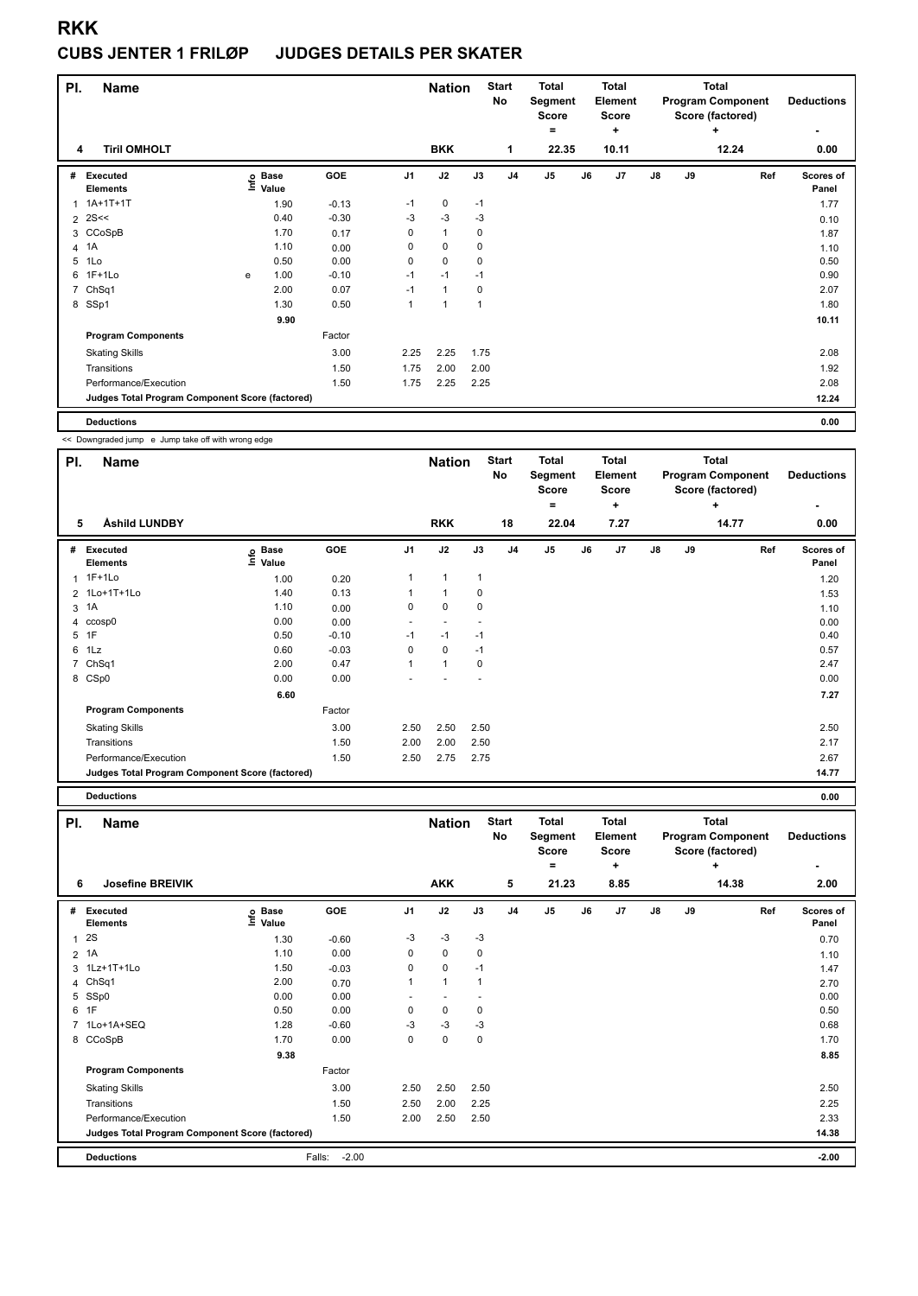#### **CUBS JENTER 1 FRILØP JUDGES DETAILS PER SKATER**

| PI.            | Name                                            |               |                      | <b>Nation</b> |                | <b>Start</b><br>No | <b>Total</b><br>Segment<br><b>Score</b><br>= |                | <b>Total</b><br>Element<br>Score<br>٠ |    |       | <b>Total</b><br><b>Program Component</b><br>Score (factored)<br>٠ | <b>Deductions</b><br>۰ |       |                    |
|----------------|-------------------------------------------------|---------------|----------------------|---------------|----------------|--------------------|----------------------------------------------|----------------|---------------------------------------|----|-------|-------------------------------------------------------------------|------------------------|-------|--------------------|
| 4              | <b>Tiril OMHOLT</b>                             |               |                      |               |                | <b>BKK</b>         |                                              | 1              | 22.35                                 |    | 10.11 |                                                                   |                        | 12.24 | 0.00               |
| #              | Executed<br><b>Elements</b>                     | $\frac{6}{2}$ | <b>Base</b><br>Value | GOE           | J <sub>1</sub> | J2                 | J3                                           | J <sub>4</sub> | J <sub>5</sub>                        | J6 | J7    | $\mathsf{J}8$                                                     | J9                     | Ref   | Scores of<br>Panel |
| 1              | 1A+1T+1T                                        |               | 1.90                 | $-0.13$       | $-1$           | 0                  | $-1$                                         |                |                                       |    |       |                                                                   |                        |       | 1.77               |
|                | $2$ 2S <<                                       |               | 0.40                 | $-0.30$       | $-3$           | $-3$               | $-3$                                         |                |                                       |    |       |                                                                   |                        |       | 0.10               |
|                | 3 CCoSpB                                        |               | 1.70                 | 0.17          | 0              | $\mathbf{1}$       | 0                                            |                |                                       |    |       |                                                                   |                        |       | 1.87               |
| 4              | 1A                                              |               | 1.10                 | 0.00          | 0              | $\mathbf 0$        | 0                                            |                |                                       |    |       |                                                                   |                        |       | 1.10               |
| 5              | 1Lo                                             |               | 0.50                 | 0.00          | 0              | $\mathbf 0$        | 0                                            |                |                                       |    |       |                                                                   |                        |       | 0.50               |
| 6              | $1F+1Lo$                                        | e             | 1.00                 | $-0.10$       | $-1$           | $-1$               | $-1$                                         |                |                                       |    |       |                                                                   |                        |       | 0.90               |
| $\overline{7}$ | Ch <sub>Sq1</sub>                               |               | 2.00                 | 0.07          | $-1$           | $\mathbf{1}$       | 0                                            |                |                                       |    |       |                                                                   |                        |       | 2.07               |
|                | 8 SSp1                                          |               | 1.30                 | 0.50          | $\mathbf{1}$   | $\overline{1}$     | 1                                            |                |                                       |    |       |                                                                   |                        |       | 1.80               |
|                |                                                 |               | 9.90                 |               |                |                    |                                              |                |                                       |    |       |                                                                   |                        |       | 10.11              |
|                | <b>Program Components</b>                       |               |                      | Factor        |                |                    |                                              |                |                                       |    |       |                                                                   |                        |       |                    |
|                | <b>Skating Skills</b>                           |               |                      | 3.00          | 2.25           | 2.25               | 1.75                                         |                |                                       |    |       |                                                                   |                        |       | 2.08               |
|                | Transitions                                     |               |                      | 1.50          | 1.75           | 2.00               | 2.00                                         |                |                                       |    |       |                                                                   |                        |       | 1.92               |
|                | Performance/Execution                           |               |                      | 1.50          | 1.75           | 2.25               | 2.25                                         |                |                                       |    |       |                                                                   |                        |       | 2.08               |
|                | Judges Total Program Component Score (factored) |               |                      |               |                |                    |                                              |                |                                       |    |       |                                                                   |                        |       | 12.24              |
|                | <b>Deductions</b>                               |               |                      |               |                |                    |                                              |                |                                       |    |       |                                                                   |                        |       | 0.00               |

<< Downgraded jump e Jump take off with wrong edge

| PI.          | <b>Name</b>                                     |                            |         |                | <b>Nation</b>        |      | <b>Start</b><br>No | <b>Total</b><br>Segment<br><b>Score</b> |    | <b>Total</b><br><b>Element</b><br><b>Score</b> |    |    | <b>Total</b><br><b>Program Component</b><br>Score (factored) | <b>Deductions</b>  |
|--------------|-------------------------------------------------|----------------------------|---------|----------------|----------------------|------|--------------------|-----------------------------------------|----|------------------------------------------------|----|----|--------------------------------------------------------------|--------------------|
|              |                                                 |                            |         |                |                      |      |                    | ۰                                       |    | ٠                                              |    |    | ٠                                                            | ٠                  |
| 5            | Åshild LUNDBY                                   |                            |         |                | <b>RKK</b>           |      | 18                 | 22.04                                   |    | 7.27                                           |    |    | 14.77                                                        | 0.00               |
| #            | Executed<br><b>Elements</b>                     | <b>Base</b><br>۴٥<br>Value | GOE     | J <sub>1</sub> | J2                   | J3   | J <sub>4</sub>     | J <sub>5</sub>                          | J6 | J7                                             | J8 | J9 | Ref                                                          | Scores of<br>Panel |
| $\mathbf{1}$ | $1F+1Lo$                                        | 1.00                       | 0.20    | 1              | $\blacktriangleleft$ | 1    |                    |                                         |    |                                                |    |    |                                                              | 1.20               |
|              | 2 1Lo+1T+1Lo                                    | 1.40                       | 0.13    |                | 1                    | 0    |                    |                                         |    |                                                |    |    |                                                              | 1.53               |
|              | 3 1A                                            | 1.10                       | 0.00    | 0              | $\mathbf 0$          | 0    |                    |                                         |    |                                                |    |    |                                                              | 1.10               |
|              | 4 ccosp0                                        | 0.00                       | 0.00    |                |                      |      |                    |                                         |    |                                                |    |    |                                                              | 0.00               |
|              | 5 1F                                            | 0.50                       | $-0.10$ | $-1$           | $-1$                 | $-1$ |                    |                                         |    |                                                |    |    |                                                              | 0.40               |
|              | 6 1Lz                                           | 0.60                       | $-0.03$ | 0              | 0                    | $-1$ |                    |                                         |    |                                                |    |    |                                                              | 0.57               |
|              | 7 ChSq1                                         | 2.00                       | 0.47    | 1              | $\mathbf{1}$         | 0    |                    |                                         |    |                                                |    |    |                                                              | 2.47               |
|              | 8 CSp0                                          | 0.00                       | 0.00    |                |                      |      |                    |                                         |    |                                                |    |    |                                                              | 0.00               |
|              |                                                 | 6.60                       |         |                |                      |      |                    |                                         |    |                                                |    |    |                                                              | 7.27               |
|              | <b>Program Components</b>                       |                            | Factor  |                |                      |      |                    |                                         |    |                                                |    |    |                                                              |                    |
|              | <b>Skating Skills</b>                           |                            | 3.00    | 2.50           | 2.50                 | 2.50 |                    |                                         |    |                                                |    |    |                                                              | 2.50               |
|              | Transitions                                     |                            | 1.50    | 2.00           | 2.00                 | 2.50 |                    |                                         |    |                                                |    |    |                                                              | 2.17               |
|              | Performance/Execution                           |                            | 1.50    | 2.50           | 2.75                 | 2.75 |                    |                                         |    |                                                |    |    |                                                              | 2.67               |
|              | Judges Total Program Component Score (factored) |                            |         |                |                      |      |                    |                                         |    |                                                |    |    |                                                              | 14.77              |

| PI.          | <b>Name</b>                                     |                   |                   |                | <b>Nation</b> |      | <b>Start</b><br><b>No</b> | <b>Total</b><br>Segment<br><b>Score</b><br>۰ |    | <b>Total</b><br>Element<br><b>Score</b><br>÷ |               |    | <b>Total</b><br><b>Program Component</b><br>Score (factored)<br>÷ | <b>Deductions</b>  |
|--------------|-------------------------------------------------|-------------------|-------------------|----------------|---------------|------|---------------------------|----------------------------------------------|----|----------------------------------------------|---------------|----|-------------------------------------------------------------------|--------------------|
| 6            | <b>Josefine BREIVIK</b>                         |                   |                   |                | <b>AKK</b>    |      | 5                         | 21.23                                        |    | 8.85                                         |               |    | 14.38                                                             | ٠<br>2.00          |
|              | # Executed<br><b>Elements</b>                   | e Base<br>E Value | GOE               | J <sub>1</sub> | J2            | J3   | J <sub>4</sub>            | J <sub>5</sub>                               | J6 | J <sub>7</sub>                               | $\mathsf{J}8$ | J9 | Ref                                                               | Scores of<br>Panel |
| $\mathbf{1}$ | <b>2S</b>                                       | 1.30              | $-0.60$           | $-3$           | $-3$          | $-3$ |                           |                                              |    |                                              |               |    |                                                                   | 0.70               |
|              | $2$ 1A                                          | 1.10              | 0.00              | 0              | $\mathbf 0$   | 0    |                           |                                              |    |                                              |               |    |                                                                   | 1.10               |
|              | 3 1Lz+1T+1Lo                                    | 1.50              | $-0.03$           | 0              | $\mathbf 0$   | $-1$ |                           |                                              |    |                                              |               |    |                                                                   | 1.47               |
|              | 4 ChSq1                                         | 2.00              | 0.70              | 1              | $\mathbf{1}$  | 1    |                           |                                              |    |                                              |               |    |                                                                   | 2.70               |
|              | 5 SSp0                                          | 0.00              | 0.00              |                |               |      |                           |                                              |    |                                              |               |    |                                                                   | 0.00               |
|              | 6 1F                                            | 0.50              | 0.00              | $\Omega$       | 0             | 0    |                           |                                              |    |                                              |               |    |                                                                   | 0.50               |
|              | 7 1Lo+1A+SEQ                                    | 1.28              | $-0.60$           | -3             | $-3$          | -3   |                           |                                              |    |                                              |               |    |                                                                   | 0.68               |
|              | 8 CCoSpB                                        | 1.70              | 0.00              | 0              | $\mathbf 0$   | 0    |                           |                                              |    |                                              |               |    |                                                                   | 1.70               |
|              |                                                 | 9.38              |                   |                |               |      |                           |                                              |    |                                              |               |    |                                                                   | 8.85               |
|              | <b>Program Components</b>                       |                   | Factor            |                |               |      |                           |                                              |    |                                              |               |    |                                                                   |                    |
|              | <b>Skating Skills</b>                           |                   | 3.00              | 2.50           | 2.50          | 2.50 |                           |                                              |    |                                              |               |    |                                                                   | 2.50               |
|              | Transitions                                     |                   | 1.50              | 2.50           | 2.00          | 2.25 |                           |                                              |    |                                              |               |    |                                                                   | 2.25               |
|              | Performance/Execution                           |                   | 1.50              | 2.00           | 2.50          | 2.50 |                           |                                              |    |                                              |               |    |                                                                   | 2.33               |
|              | Judges Total Program Component Score (factored) |                   |                   |                |               |      |                           |                                              |    |                                              |               |    |                                                                   | 14.38              |
|              | <b>Deductions</b>                               |                   | $-2.00$<br>Falls: |                |               |      |                           |                                              |    |                                              |               |    |                                                                   | $-2.00$            |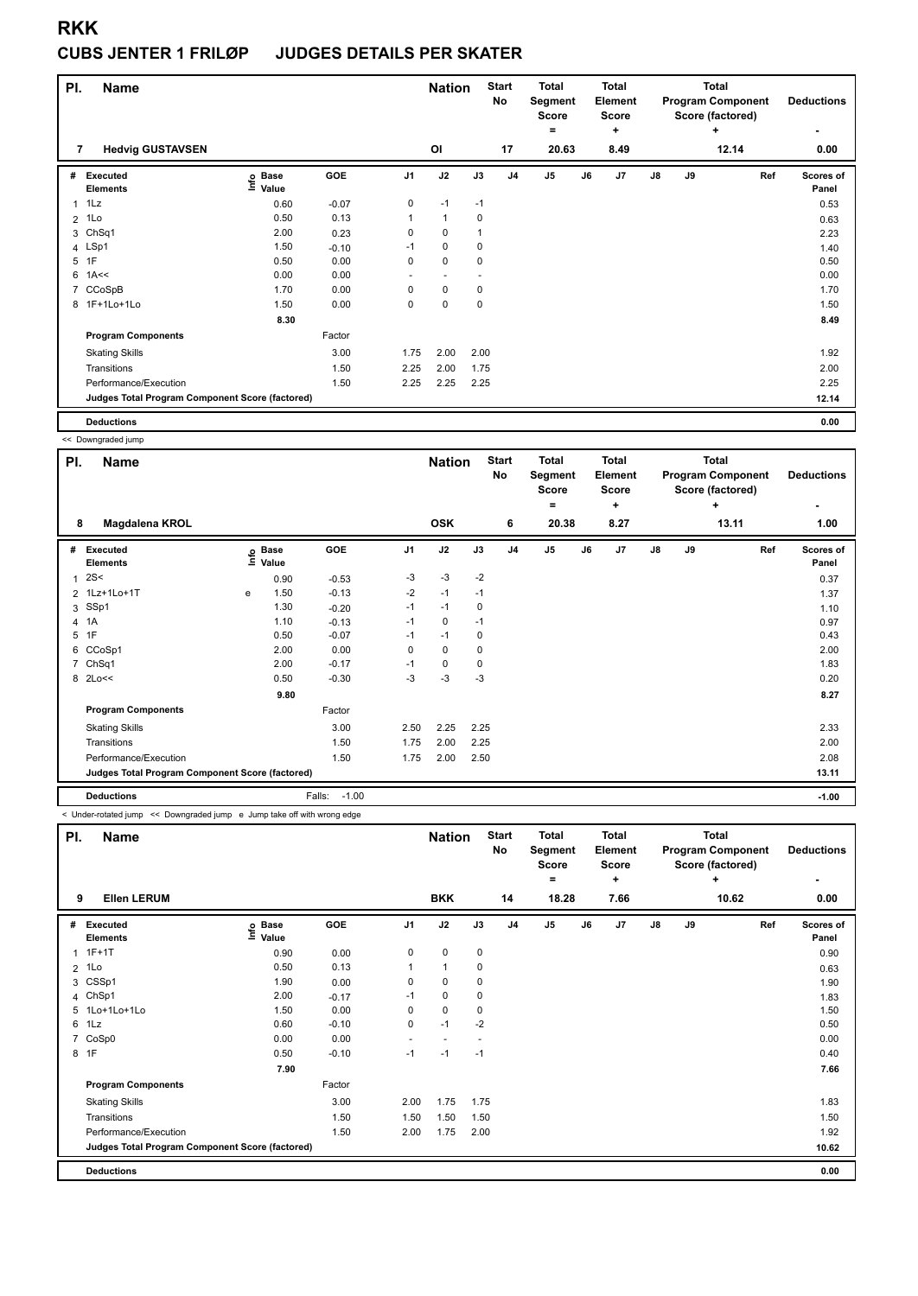#### **CUBS JENTER 1 FRILØP JUDGES DETAILS PER SKATER**

|                | PI.<br>Name                                     |                            |         |                | <b>Nation</b>            |      | <b>Start</b><br>No | <b>Total</b><br>Segment<br><b>Score</b> |    | <b>Total</b><br>Element<br>Score |               |    | <b>Total</b><br><b>Program Component</b><br>Score (factored) | <b>Deductions</b>  |
|----------------|-------------------------------------------------|----------------------------|---------|----------------|--------------------------|------|--------------------|-----------------------------------------|----|----------------------------------|---------------|----|--------------------------------------------------------------|--------------------|
| 7              | <b>Hedvig GUSTAVSEN</b>                         |                            |         |                | O <sub>l</sub>           |      | 17                 | $=$<br>20.63                            |    | ÷<br>8.49                        |               |    | ÷<br>12.14                                                   | ۰<br>0.00          |
| #              | Executed<br><b>Elements</b>                     | e Base<br>E Value<br>Value | GOE     | J <sub>1</sub> | J2                       | J3   | J <sub>4</sub>     | J <sub>5</sub>                          | J6 | J7                               | $\mathsf{J}8$ | J9 | Ref                                                          | Scores of<br>Panel |
| 1              | 1Lz                                             | 0.60                       | $-0.07$ | 0              | $-1$                     | $-1$ |                    |                                         |    |                                  |               |    |                                                              | 0.53               |
| $\overline{2}$ | 1Lo                                             | 0.50                       | 0.13    | 1              | $\mathbf{1}$             | 0    |                    |                                         |    |                                  |               |    |                                                              | 0.63               |
| 3              | Ch <sub>Sq1</sub>                               | 2.00                       | 0.23    | 0              | $\mathbf 0$              |      |                    |                                         |    |                                  |               |    |                                                              | 2.23               |
|                | 4 LSp1                                          | 1.50                       | $-0.10$ | $-1$           | $\mathbf 0$              | 0    |                    |                                         |    |                                  |               |    |                                                              | 1.40               |
| 5              | 1F                                              | 0.50                       | 0.00    | 0              | $\pmb{0}$                | 0    |                    |                                         |    |                                  |               |    |                                                              | 0.50               |
| 6              | 1A<<                                            | 0.00                       | 0.00    | ٠              | $\overline{\phantom{a}}$ |      |                    |                                         |    |                                  |               |    |                                                              | 0.00               |
| 7              | CCoSpB                                          | 1.70                       | 0.00    | 0              | $\mathbf 0$              | 0    |                    |                                         |    |                                  |               |    |                                                              | 1.70               |
|                | 8 1F+1Lo+1Lo                                    | 1.50                       | 0.00    | 0              | $\mathbf 0$              | 0    |                    |                                         |    |                                  |               |    |                                                              | 1.50               |
|                |                                                 | 8.30                       |         |                |                          |      |                    |                                         |    |                                  |               |    |                                                              | 8.49               |
|                | <b>Program Components</b>                       |                            | Factor  |                |                          |      |                    |                                         |    |                                  |               |    |                                                              |                    |
|                | <b>Skating Skills</b>                           |                            | 3.00    | 1.75           | 2.00                     | 2.00 |                    |                                         |    |                                  |               |    |                                                              | 1.92               |
|                | Transitions                                     |                            | 1.50    | 2.25           | 2.00                     | 1.75 |                    |                                         |    |                                  |               |    |                                                              | 2.00               |
|                | Performance/Execution                           |                            | 1.50    | 2.25           | 2.25                     | 2.25 |                    |                                         |    |                                  |               |    |                                                              | 2.25               |
|                | Judges Total Program Component Score (factored) |                            |         |                |                          |      |                    |                                         |    |                                  |               |    |                                                              | 12.14              |
|                | <b>Deductions</b>                               |                            |         |                |                          |      |                    |                                         |    |                                  |               |    |                                                              | 0.00               |

<< Downgraded jump

|              | - - - - - <del>.</del> . - - - -                |      |                      |                   |                |               |             |                    |                                  |    |                                  |    |    |                                                              |                           |
|--------------|-------------------------------------------------|------|----------------------|-------------------|----------------|---------------|-------------|--------------------|----------------------------------|----|----------------------------------|----|----|--------------------------------------------------------------|---------------------------|
| PI.          | Name                                            |      |                      |                   |                | <b>Nation</b> |             | <b>Start</b><br>No | <b>Total</b><br>Segment<br>Score |    | Total<br>Element<br><b>Score</b> |    |    | <b>Total</b><br><b>Program Component</b><br>Score (factored) | <b>Deductions</b>         |
|              |                                                 |      |                      |                   |                |               |             |                    | ۰                                |    | ٠                                |    |    | ٠                                                            |                           |
| 8            | Magdalena KROL                                  |      |                      |                   |                | <b>OSK</b>    |             | 6                  | 20.38                            |    | 8.27                             |    |    | 13.11                                                        | 1.00                      |
| #            | Executed<br><b>Elements</b>                     | ١nfo | <b>Base</b><br>Value | GOE               | J <sub>1</sub> | J2            | J3          | J <sub>4</sub>     | J5                               | J6 | J <sub>7</sub>                   | J8 | J9 | Ref                                                          | <b>Scores of</b><br>Panel |
| $\mathbf{1}$ | 2S<                                             |      | 0.90                 | $-0.53$           | $-3$           | $-3$          | $-2$        |                    |                                  |    |                                  |    |    |                                                              | 0.37                      |
|              | 2 1Lz+1Lo+1T                                    | e    | 1.50                 | $-0.13$           | $-2$           | $-1$          | $-1$        |                    |                                  |    |                                  |    |    |                                                              | 1.37                      |
|              | 3 SSp1                                          |      | 1.30                 | $-0.20$           | $-1$           | $-1$          | $\mathbf 0$ |                    |                                  |    |                                  |    |    |                                                              | 1.10                      |
|              | 4 1A                                            |      | 1.10                 | $-0.13$           | $-1$           | 0             | $-1$        |                    |                                  |    |                                  |    |    |                                                              | 0.97                      |
|              | 5 1F                                            |      | 0.50                 | $-0.07$           | $-1$           | $-1$          | 0           |                    |                                  |    |                                  |    |    |                                                              | 0.43                      |
|              | 6 CCoSp1                                        |      | 2.00                 | 0.00              | $\Omega$       | 0             | $\mathbf 0$ |                    |                                  |    |                                  |    |    |                                                              | 2.00                      |
|              | 7 ChSq1                                         |      | 2.00                 | $-0.17$           | $-1$           | 0             | $\mathbf 0$ |                    |                                  |    |                                  |    |    |                                                              | 1.83                      |
|              | 8 2Lo<<                                         |      | 0.50                 | $-0.30$           | $-3$           | $-3$          | $-3$        |                    |                                  |    |                                  |    |    |                                                              | 0.20                      |
|              |                                                 |      | 9.80                 |                   |                |               |             |                    |                                  |    |                                  |    |    |                                                              | 8.27                      |
|              | <b>Program Components</b>                       |      |                      | Factor            |                |               |             |                    |                                  |    |                                  |    |    |                                                              |                           |
|              | <b>Skating Skills</b>                           |      |                      | 3.00              | 2.50           | 2.25          | 2.25        |                    |                                  |    |                                  |    |    |                                                              | 2.33                      |
|              | Transitions                                     |      |                      | 1.50              | 1.75           | 2.00          | 2.25        |                    |                                  |    |                                  |    |    |                                                              | 2.00                      |
|              | Performance/Execution                           |      |                      | 1.50              | 1.75           | 2.00          | 2.50        |                    |                                  |    |                                  |    |    |                                                              | 2.08                      |
|              | Judges Total Program Component Score (factored) |      |                      |                   |                |               |             |                    |                                  |    |                                  |    |    |                                                              | 13.11                     |
|              | <b>Deductions</b>                               |      |                      | $-1.00$<br>Falls: |                |               |             |                    |                                  |    |                                  |    |    |                                                              | $-1.00$                   |

< Under-rotated jump << Downgraded jump e Jump take off with wrong edge

| PI.            | <b>Name</b>                                     |                                  |         |                          | <b>Nation</b>            |           | <b>Start</b><br>No | <b>Total</b><br>Segment<br>Score<br>٠ |    | <b>Total</b><br>Element<br>Score<br>÷ |               |    | <b>Total</b><br><b>Program Component</b><br>Score (factored)<br>÷ | <b>Deductions</b>  |
|----------------|-------------------------------------------------|----------------------------------|---------|--------------------------|--------------------------|-----------|--------------------|---------------------------------------|----|---------------------------------------|---------------|----|-------------------------------------------------------------------|--------------------|
| 9              | <b>Ellen LERUM</b>                              |                                  |         |                          | <b>BKK</b>               |           | 14                 | 18.28                                 |    | 7.66                                  |               |    | 10.62                                                             | 0.00               |
| #              | <b>Executed</b><br><b>Elements</b>              | <b>Base</b><br>e Base<br>⊑ Value | GOE     | J <sub>1</sub>           | J2                       | J3        | J <sub>4</sub>     | J <sub>5</sub>                        | J6 | J7                                    | $\mathsf{J}8$ | J9 | Ref                                                               | Scores of<br>Panel |
| 1              | $1F+1T$                                         | 0.90                             | 0.00    | 0                        | $\mathbf 0$              | $\pmb{0}$ |                    |                                       |    |                                       |               |    |                                                                   | 0.90               |
| $\overline{2}$ | 1Lo                                             | 0.50                             | 0.13    | 1                        | $\mathbf{1}$             | 0         |                    |                                       |    |                                       |               |    |                                                                   | 0.63               |
|                | 3 CSSp1                                         | 1.90                             | 0.00    | 0                        | 0                        | 0         |                    |                                       |    |                                       |               |    |                                                                   | 1.90               |
|                | 4 ChSp1                                         | 2.00                             | $-0.17$ | $-1$                     | $\mathbf 0$              | 0         |                    |                                       |    |                                       |               |    |                                                                   | 1.83               |
|                | 5 1Lo+1Lo+1Lo                                   | 1.50                             | 0.00    | 0                        | $\mathbf 0$              | 0         |                    |                                       |    |                                       |               |    |                                                                   | 1.50               |
| 6              | 1Lz                                             | 0.60                             | $-0.10$ | 0                        | $-1$                     | $-2$      |                    |                                       |    |                                       |               |    |                                                                   | 0.50               |
| $\overline{7}$ | CoSp0                                           | 0.00                             | 0.00    | $\overline{\phantom{a}}$ | $\overline{\phantom{a}}$ |           |                    |                                       |    |                                       |               |    |                                                                   | 0.00               |
|                | 8 1F                                            | 0.50                             | $-0.10$ | $-1$                     | $-1$                     | $-1$      |                    |                                       |    |                                       |               |    |                                                                   | 0.40               |
|                |                                                 | 7.90                             |         |                          |                          |           |                    |                                       |    |                                       |               |    |                                                                   | 7.66               |
|                | <b>Program Components</b>                       |                                  | Factor  |                          |                          |           |                    |                                       |    |                                       |               |    |                                                                   |                    |
|                | <b>Skating Skills</b>                           |                                  | 3.00    | 2.00                     | 1.75                     | 1.75      |                    |                                       |    |                                       |               |    |                                                                   | 1.83               |
|                | Transitions                                     |                                  | 1.50    | 1.50                     | 1.50                     | 1.50      |                    |                                       |    |                                       |               |    |                                                                   | 1.50               |
|                | Performance/Execution                           |                                  | 1.50    | 2.00                     | 1.75                     | 2.00      |                    |                                       |    |                                       |               |    |                                                                   | 1.92               |
|                | Judges Total Program Component Score (factored) |                                  |         |                          |                          |           |                    |                                       |    |                                       |               |    |                                                                   | 10.62              |
|                | <b>Deductions</b>                               |                                  |         |                          |                          |           |                    |                                       |    |                                       |               |    |                                                                   | 0.00               |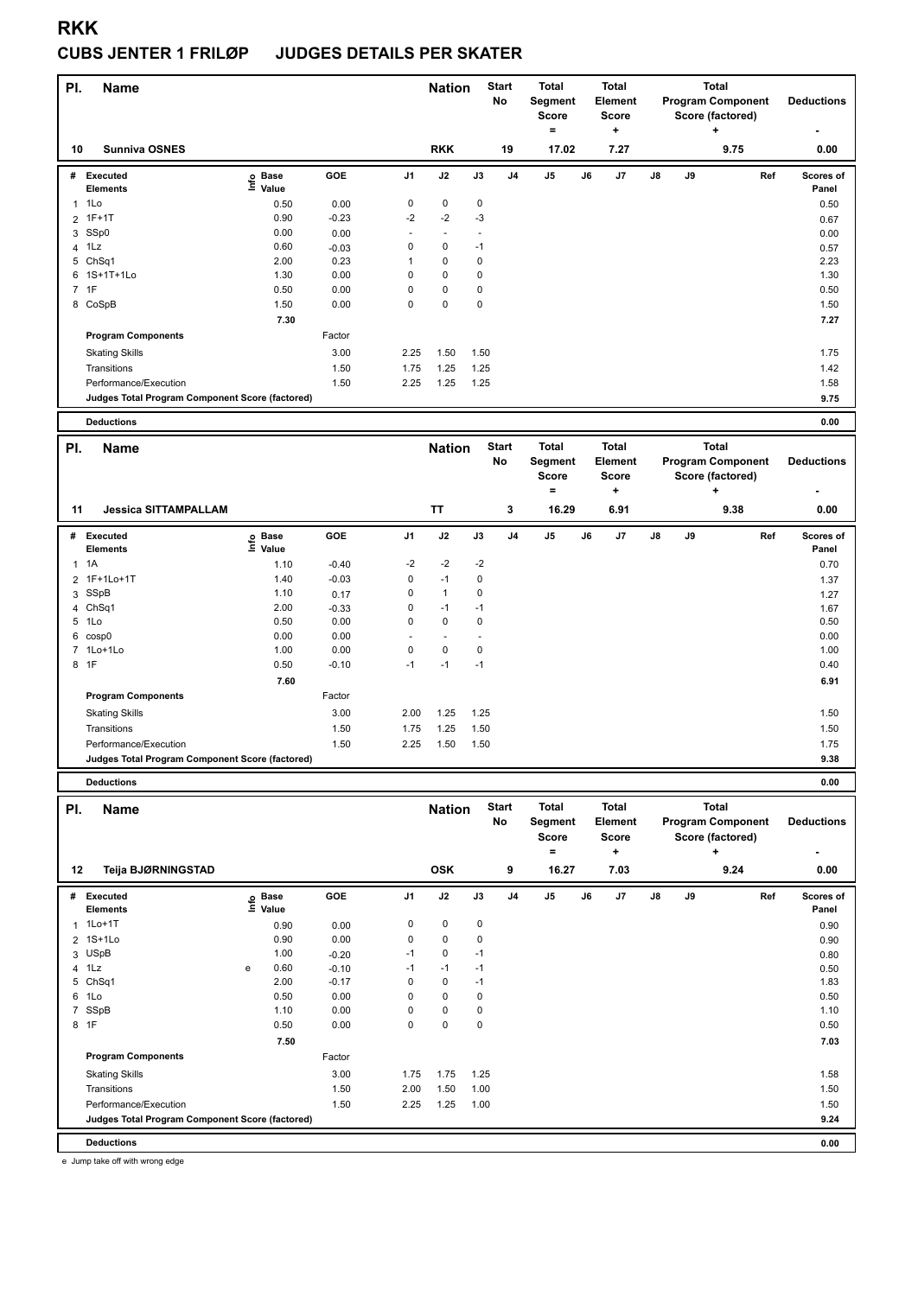### **CUBS JENTER 1 FRILØP JUDGES DETAILS PER SKATER**

| PI. | <b>Name</b>                                     |                              |         |                | <b>Nation</b> |      | <b>Start</b><br>No | <b>Total</b><br>Segment<br><b>Score</b>      | <b>Total</b><br>Element<br><b>Score</b>             |    |    | <b>Total</b><br><b>Program Component</b><br>Score (factored)      | <b>Deductions</b>         |
|-----|-------------------------------------------------|------------------------------|---------|----------------|---------------|------|--------------------|----------------------------------------------|-----------------------------------------------------|----|----|-------------------------------------------------------------------|---------------------------|
| 10  | <b>Sunniva OSNES</b>                            |                              |         |                | <b>RKK</b>    |      | 19                 | ۰<br>17.02                                   | ÷<br>7.27                                           |    |    | ٠<br>9.75                                                         | 0.00                      |
| #   | Executed<br><b>Elements</b>                     | <b>Base</b><br>١nf٥<br>Value | GOE     | J <sub>1</sub> | J2            | J3   | J <sub>4</sub>     | J5                                           | J7<br>J6                                            | J8 | J9 | Ref                                                               | <b>Scores of</b><br>Panel |
|     | $1$ 1 Lo                                        | 0.50                         | 0.00    | 0              | $\pmb{0}$     | 0    |                    |                                              |                                                     |    |    |                                                                   | 0.50                      |
|     | 2 1F+1T                                         | 0.90                         | $-0.23$ | $-2$           | $-2$          | $-3$ |                    |                                              |                                                     |    |    |                                                                   | 0.67                      |
| 3   | SSp0                                            | 0.00                         | 0.00    |                |               |      |                    |                                              |                                                     |    |    |                                                                   | 0.00                      |
| 4   | 1Lz                                             | 0.60                         | $-0.03$ | 0              | $\mathbf 0$   | $-1$ |                    |                                              |                                                     |    |    |                                                                   | 0.57                      |
| 5   | ChSq1                                           | 2.00                         | 0.23    |                | 0             | 0    |                    |                                              |                                                     |    |    |                                                                   | 2.23                      |
| 6   | 1S+1T+1Lo                                       | 1.30                         | 0.00    | 0              | 0             | 0    |                    |                                              |                                                     |    |    |                                                                   | 1.30                      |
|     | 7 1F                                            | 0.50                         | 0.00    | 0              | 0             | 0    |                    |                                              |                                                     |    |    |                                                                   | 0.50                      |
|     | 8 CoSpB                                         | 1.50                         | 0.00    | 0              | 0             | 0    |                    |                                              |                                                     |    |    |                                                                   | 1.50                      |
|     |                                                 | 7.30                         |         |                |               |      |                    |                                              |                                                     |    |    |                                                                   | 7.27                      |
|     | <b>Program Components</b>                       |                              | Factor  |                |               |      |                    |                                              |                                                     |    |    |                                                                   |                           |
|     | <b>Skating Skills</b>                           |                              | 3.00    | 2.25           | 1.50          | 1.50 |                    |                                              |                                                     |    |    |                                                                   | 1.75                      |
|     | Transitions                                     |                              | 1.50    | 1.75           | 1.25          | 1.25 |                    |                                              |                                                     |    |    |                                                                   | 1.42                      |
|     | Performance/Execution                           |                              | 1.50    | 2.25           | 1.25          | 1.25 |                    |                                              |                                                     |    |    |                                                                   | 1.58                      |
|     | Judges Total Program Component Score (factored) |                              |         |                |               |      |                    |                                              |                                                     |    |    |                                                                   | 9.75                      |
|     | <b>Deductions</b>                               |                              |         |                |               |      |                    |                                              |                                                     |    |    |                                                                   | 0.00                      |
| PI. | <b>Name</b>                                     |                              |         |                | <b>Nation</b> |      | <b>Start</b><br>No | <b>Total</b><br>Segment<br><b>Score</b><br>۰ | <b>Total</b><br><b>Element</b><br><b>Score</b><br>÷ |    |    | <b>Total</b><br><b>Program Component</b><br>Score (factored)<br>÷ | <b>Deductions</b>         |

|    |                                                 |                     |            |                          |                          |      |                | =              |    | ÷              |    |    | ÷    | ۰                  |
|----|-------------------------------------------------|---------------------|------------|--------------------------|--------------------------|------|----------------|----------------|----|----------------|----|----|------|--------------------|
| 11 | <b>Jessica SITTAMPALLAM</b>                     |                     |            |                          | <b>TT</b>                |      | 3              | 16.29          |    | 6.91           |    |    | 9.38 | 0.00               |
| #  | <b>Executed</b><br>Elements                     | Base<br>۴ů<br>Value | <b>GOE</b> | J <sub>1</sub>           | J2                       | J3   | J <sub>4</sub> | J <sub>5</sub> | J6 | J <sub>7</sub> | J8 | J9 | Ref  | Scores of<br>Panel |
|    | $1 \t1A$                                        | 1.10                | $-0.40$    | $-2$                     | $-2$                     | $-2$ |                |                |    |                |    |    |      | 0.70               |
|    | 2 1F+1Lo+1T                                     | 1.40                | $-0.03$    | 0                        | $-1$                     | 0    |                |                |    |                |    |    |      | 1.37               |
|    | 3 SSpB                                          | 1.10                | 0.17       | 0                        | $\overline{1}$           | 0    |                |                |    |                |    |    |      | 1.27               |
|    | 4 ChSq1                                         | 2.00                | $-0.33$    | 0                        | $-1$                     | $-1$ |                |                |    |                |    |    |      | 1.67               |
|    | 5 1Lo                                           | 0.50                | 0.00       | 0                        | $\mathbf 0$              | 0    |                |                |    |                |    |    |      | 0.50               |
|    | 6 cosp0                                         | 0.00                | 0.00       | $\overline{\phantom{0}}$ | $\overline{\phantom{a}}$ |      |                |                |    |                |    |    |      | 0.00               |
|    | 7 1Lo+1Lo                                       | 1.00                | 0.00       | 0                        | $\mathbf 0$              | 0    |                |                |    |                |    |    |      | 1.00               |
|    | 8 1F                                            | 0.50                | $-0.10$    | $-1$                     | $-1$                     | $-1$ |                |                |    |                |    |    |      | 0.40               |
|    |                                                 | 7.60                |            |                          |                          |      |                |                |    |                |    |    |      | 6.91               |
|    | <b>Program Components</b>                       |                     | Factor     |                          |                          |      |                |                |    |                |    |    |      |                    |
|    | <b>Skating Skills</b>                           |                     | 3.00       | 2.00                     | 1.25                     | 1.25 |                |                |    |                |    |    |      | 1.50               |
|    | Transitions                                     |                     | 1.50       | 1.75                     | 1.25                     | 1.50 |                |                |    |                |    |    |      | 1.50               |
|    | Performance/Execution                           |                     | 1.50       | 2.25                     | 1.50                     | 1.50 |                |                |    |                |    |    |      | 1.75               |
|    | Judges Total Program Component Score (factored) |                     |            |                          |                          |      |                |                |    |                |    |    |      | 9.38               |

**Deductions 0.00**

| PI.            | <b>Name</b>                                     |   |                   | <b>Start</b><br><b>Nation</b><br>No |                | <b>Total</b><br>Segment<br><b>Score</b> |             | <b>Total</b><br>Element<br><b>Score</b> |                | Total<br><b>Program Component</b><br>Score (factored) | <b>Deductions</b> |               |    |      |                    |
|----------------|-------------------------------------------------|---|-------------------|-------------------------------------|----------------|-----------------------------------------|-------------|-----------------------------------------|----------------|-------------------------------------------------------|-------------------|---------------|----|------|--------------------|
|                |                                                 |   |                   |                                     |                |                                         |             |                                         | $=$            |                                                       | ٠                 |               |    | ÷    | ٠                  |
| 12             | Teija BJØRNINGSTAD                              |   |                   |                                     |                | <b>OSK</b>                              |             | 9                                       | 16.27          |                                                       | 7.03              |               |    | 9.24 | 0.00               |
| #              | <b>Executed</b><br><b>Elements</b>              |   | e Base<br>E Value | GOE                                 | J <sub>1</sub> | J2                                      | J3          | J <sub>4</sub>                          | J <sub>5</sub> | J6                                                    | J7                | $\mathsf{J}8$ | J9 | Ref  | Scores of<br>Panel |
| 1              | $1$ Lo $+1$ T                                   |   | 0.90              | 0.00                                | 0              | $\mathbf 0$                             | 0           |                                         |                |                                                       |                   |               |    |      | 0.90               |
|                | 2 1S+1Lo                                        |   | 0.90              | 0.00                                | 0              | $\mathbf 0$                             | 0           |                                         |                |                                                       |                   |               |    |      | 0.90               |
|                | 3 USpB                                          |   | 1.00              | $-0.20$                             | $-1$           | 0                                       | $-1$        |                                         |                |                                                       |                   |               |    |      | 0.80               |
|                | 4 1Lz                                           | e | 0.60              | $-0.10$                             | $-1$           | $-1$                                    | $-1$        |                                         |                |                                                       |                   |               |    |      | 0.50               |
| 5              | ChSq1                                           |   | 2.00              | $-0.17$                             | $\Omega$       | 0                                       | $-1$        |                                         |                |                                                       |                   |               |    |      | 1.83               |
| 6              | 1Lo                                             |   | 0.50              | 0.00                                | 0              | 0                                       | 0           |                                         |                |                                                       |                   |               |    |      | 0.50               |
| $\overline{7}$ | SSpB                                            |   | 1.10              | 0.00                                | $\Omega$       | 0                                       | 0           |                                         |                |                                                       |                   |               |    |      | 1.10               |
|                | 8 1F                                            |   | 0.50              | 0.00                                | 0              | $\mathbf 0$                             | $\mathbf 0$ |                                         |                |                                                       |                   |               |    |      | 0.50               |
|                |                                                 |   | 7.50              |                                     |                |                                         |             |                                         |                |                                                       |                   |               |    |      | 7.03               |
|                | <b>Program Components</b>                       |   |                   | Factor                              |                |                                         |             |                                         |                |                                                       |                   |               |    |      |                    |
|                | <b>Skating Skills</b>                           |   |                   | 3.00                                | 1.75           | 1.75                                    | 1.25        |                                         |                |                                                       |                   |               |    |      | 1.58               |
|                | Transitions                                     |   |                   | 1.50                                | 2.00           | 1.50                                    | 1.00        |                                         |                |                                                       |                   |               |    |      | 1.50               |
|                | Performance/Execution                           |   |                   | 1.50                                | 2.25           | 1.25                                    | 1.00        |                                         |                |                                                       |                   |               |    |      | 1.50               |
|                | Judges Total Program Component Score (factored) |   |                   |                                     |                |                                         |             |                                         |                |                                                       |                   |               |    |      | 9.24               |
|                | <b>Deductions</b>                               |   |                   |                                     |                |                                         |             |                                         |                |                                                       |                   |               |    |      | 0.00               |

e Jump take off with wrong edge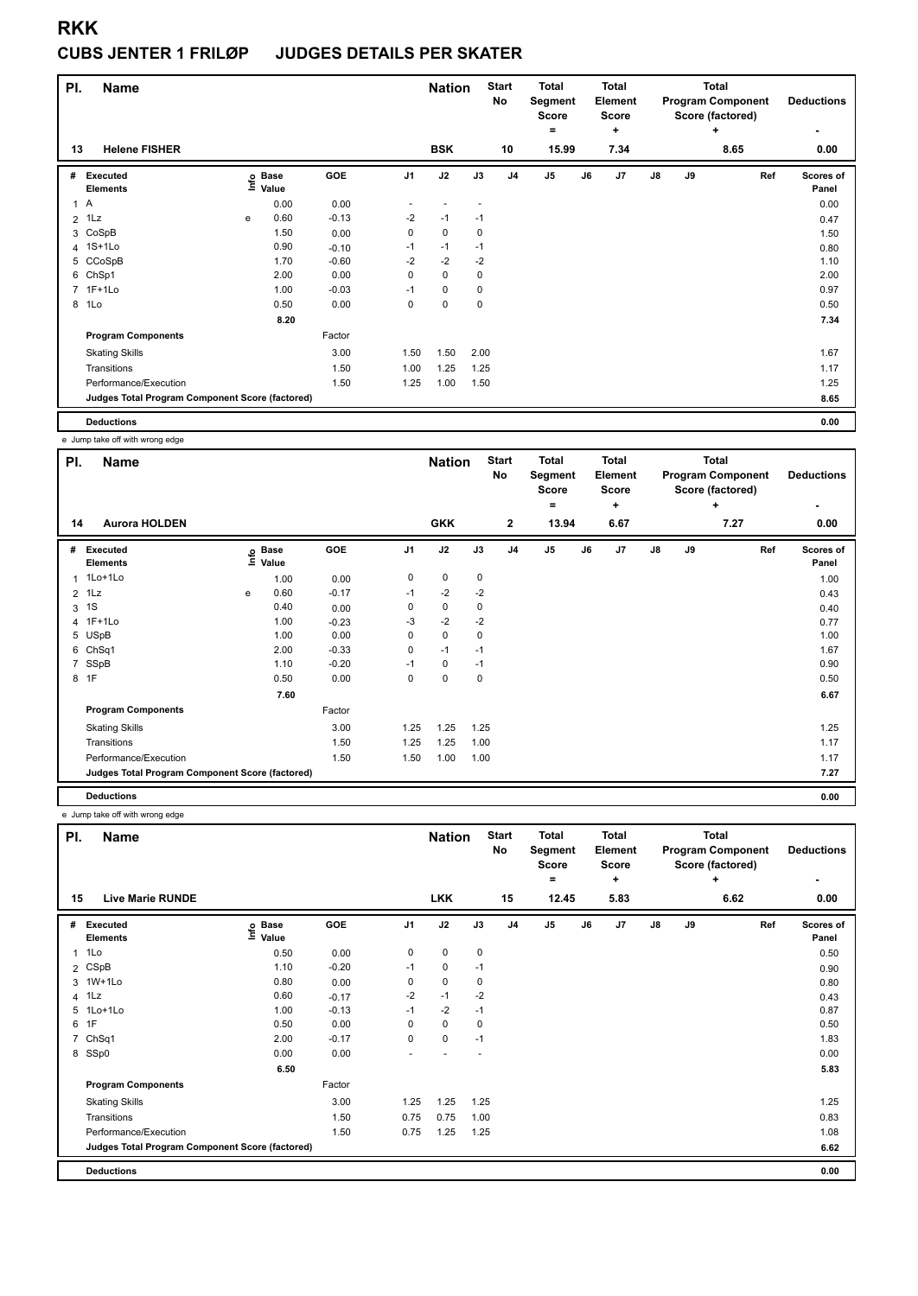#### **CUBS JENTER 1 FRILØP JUDGES DETAILS PER SKATER**

| PI.            | <b>Name</b>                                     |      |                      |         |                | <b>Nation</b> |             | <b>Start</b><br>No | <b>Total</b><br>Segment<br><b>Score</b> |    | <b>Total</b><br>Element<br>Score<br>÷ |               | <b>Total</b><br><b>Program Component</b><br>Score (factored) | <b>Deductions</b> |                    |
|----------------|-------------------------------------------------|------|----------------------|---------|----------------|---------------|-------------|--------------------|-----------------------------------------|----|---------------------------------------|---------------|--------------------------------------------------------------|-------------------|--------------------|
| 13             | <b>Helene FISHER</b>                            |      |                      |         |                | <b>BSK</b>    |             | 10                 | $=$<br>15.99                            |    | 7.34                                  |               |                                                              | ÷<br>8.65         | ۰<br>0.00          |
| #              | Executed<br><b>Elements</b>                     | lnfo | <b>Base</b><br>Value | GOE     | J <sub>1</sub> | J2            | J3          | J <sub>4</sub>     | J <sub>5</sub>                          | J6 | J7                                    | $\mathsf{J}8$ | J9                                                           | Ref               | Scores of<br>Panel |
| 1A             |                                                 |      | 0.00                 | 0.00    |                |               |             |                    |                                         |    |                                       |               |                                                              |                   | 0.00               |
| $\overline{2}$ | 1Lz                                             | e    | 0.60                 | $-0.13$ | $-2$           | $-1$          | $-1$        |                    |                                         |    |                                       |               |                                                              |                   | 0.47               |
| 3              | CoSpB                                           |      | 1.50                 | 0.00    | 0              | 0             | 0           |                    |                                         |    |                                       |               |                                                              |                   | 1.50               |
|                | 4 1S+1Lo                                        |      | 0.90                 | $-0.10$ | $-1$           | $-1$          | $-1$        |                    |                                         |    |                                       |               |                                                              |                   | 0.80               |
|                | 5 CCoSpB                                        |      | 1.70                 | $-0.60$ | $-2$           | $-2$          | $-2$        |                    |                                         |    |                                       |               |                                                              |                   | 1.10               |
| 6              | ChSp1                                           |      | 2.00                 | 0.00    | $\mathbf 0$    | $\mathbf 0$   | $\mathbf 0$ |                    |                                         |    |                                       |               |                                                              |                   | 2.00               |
|                | 7 1F+1Lo                                        |      | 1.00                 | $-0.03$ | $-1$           | 0             | 0           |                    |                                         |    |                                       |               |                                                              |                   | 0.97               |
| 8              | 1Lo                                             |      | 0.50                 | 0.00    | 0              | $\mathbf 0$   | 0           |                    |                                         |    |                                       |               |                                                              |                   | 0.50               |
|                |                                                 |      | 8.20                 |         |                |               |             |                    |                                         |    |                                       |               |                                                              |                   | 7.34               |
|                | <b>Program Components</b>                       |      |                      | Factor  |                |               |             |                    |                                         |    |                                       |               |                                                              |                   |                    |
|                | <b>Skating Skills</b>                           |      |                      | 3.00    | 1.50           | 1.50          | 2.00        |                    |                                         |    |                                       |               |                                                              |                   | 1.67               |
|                | Transitions                                     |      |                      | 1.50    | 1.00           | 1.25          | 1.25        |                    |                                         |    |                                       |               |                                                              |                   | 1.17               |
|                | Performance/Execution                           |      |                      | 1.50    | 1.25           | 1.00          | 1.50        |                    |                                         |    |                                       |               |                                                              |                   | 1.25               |
|                | Judges Total Program Component Score (factored) |      |                      |         |                |               |             |                    |                                         |    |                                       |               |                                                              |                   | 8.65               |
|                | <b>Deductions</b>                               |      |                      |         |                |               |             |                    |                                         |    |                                       |               |                                                              |                   | 0.00               |

e Jump take off with wrong edge

| PI. | <b>Name</b>                                     |   |                            |         |                | <b>Nation</b> |             | <b>Start</b><br>No | <b>Total</b><br><b>Segment</b><br><b>Score</b> |    | <b>Total</b><br>Element<br><b>Score</b> | <b>Total</b><br><b>Program Component</b><br>Score (factored) |    |           | <b>Deductions</b>  |
|-----|-------------------------------------------------|---|----------------------------|---------|----------------|---------------|-------------|--------------------|------------------------------------------------|----|-----------------------------------------|--------------------------------------------------------------|----|-----------|--------------------|
| 14  | <b>Aurora HOLDEN</b>                            |   |                            |         |                | <b>GKK</b>    |             | $\overline{2}$     | $\equiv$<br>13.94                              |    | ٠<br>6.67                               |                                                              |    | ÷<br>7.27 | ٠<br>0.00          |
|     |                                                 |   |                            |         |                |               |             |                    |                                                |    |                                         |                                                              |    |           |                    |
| #   | Executed<br><b>Elements</b>                     |   | e Base<br>⊆ Value<br>Value | GOE     | J <sub>1</sub> | J2            | J3          | J <sub>4</sub>     | $\mathsf{J}5$                                  | J6 | J7                                      | $\mathsf{J}8$                                                | J9 | Ref       | Scores of<br>Panel |
|     | 1 1Lo+1Lo                                       |   | 1.00                       | 0.00    | 0              | 0             | 0           |                    |                                                |    |                                         |                                                              |    |           | 1.00               |
|     | $2$ 1 Lz                                        | e | 0.60                       | $-0.17$ | $-1$           | $-2$          | $-2$        |                    |                                                |    |                                         |                                                              |    |           | 0.43               |
| 3   | 1S                                              |   | 0.40                       | 0.00    | 0              | 0             | $\mathbf 0$ |                    |                                                |    |                                         |                                                              |    |           | 0.40               |
|     | 4 1F+1Lo                                        |   | 1.00                       | $-0.23$ | $-3$           | $-2$          | $-2$        |                    |                                                |    |                                         |                                                              |    |           | 0.77               |
|     | 5 USpB                                          |   | 1.00                       | 0.00    | 0              | 0             | 0           |                    |                                                |    |                                         |                                                              |    |           | 1.00               |
|     | 6 ChSq1                                         |   | 2.00                       | $-0.33$ | $\mathbf 0$    | $-1$          | $-1$        |                    |                                                |    |                                         |                                                              |    |           | 1.67               |
|     | 7 SSpB                                          |   | 1.10                       | $-0.20$ | $-1$           | 0             | $-1$        |                    |                                                |    |                                         |                                                              |    |           | 0.90               |
|     | 8 1F                                            |   | 0.50                       | 0.00    | 0              | 0             | $\mathbf 0$ |                    |                                                |    |                                         |                                                              |    |           | 0.50               |
|     |                                                 |   | 7.60                       |         |                |               |             |                    |                                                |    |                                         |                                                              |    |           | 6.67               |
|     | <b>Program Components</b>                       |   |                            | Factor  |                |               |             |                    |                                                |    |                                         |                                                              |    |           |                    |
|     | <b>Skating Skills</b>                           |   |                            | 3.00    | 1.25           | 1.25          | 1.25        |                    |                                                |    |                                         |                                                              |    |           | 1.25               |
|     | Transitions                                     |   |                            | 1.50    | 1.25           | 1.25          | 1.00        |                    |                                                |    |                                         |                                                              |    |           | 1.17               |
|     | Performance/Execution                           |   |                            | 1.50    | 1.50           | 1.00          | 1.00        |                    |                                                |    |                                         |                                                              |    |           | 1.17               |
|     | Judges Total Program Component Score (factored) |   |                            |         |                |               |             |                    |                                                |    |                                         |                                                              |    |           | 7.27               |
|     | <b>Deductions</b>                               |   |                            |         |                |               |             |                    |                                                |    |                                         |                                                              |    |           | 0.00               |

e Jump take off with wrong edge

| PI.            | <b>Name</b>                                     |                              |            |                | <b>Nation</b> |      | <b>Start</b><br>No | Total<br>Segment<br><b>Score</b><br>$=$ |    | <b>Total</b><br>Element<br>Score<br>÷ | <b>Total</b><br><b>Program Component</b><br>Score (factored)<br>٠ |    |      | <b>Deductions</b><br>٠ |
|----------------|-------------------------------------------------|------------------------------|------------|----------------|---------------|------|--------------------|-----------------------------------------|----|---------------------------------------|-------------------------------------------------------------------|----|------|------------------------|
| 15             | <b>Live Marie RUNDE</b>                         |                              |            |                | <b>LKK</b>    |      | 15                 | 12.45                                   |    | 5.83                                  |                                                                   |    | 6.62 | 0.00                   |
| #              | <b>Executed</b><br><b>Elements</b>              | <b>Base</b><br>lnfo<br>Value | <b>GOE</b> | J <sub>1</sub> | J2            | J3   | J <sub>4</sub>     | J <sub>5</sub>                          | J6 | J <sub>7</sub>                        | $\mathsf{J}8$                                                     | J9 | Ref  | Scores of<br>Panel     |
| $\mathbf{1}$   | 1Lo                                             | 0.50                         | 0.00       | 0              | 0             | 0    |                    |                                         |    |                                       |                                                                   |    |      | 0.50                   |
|                | 2 CSpB                                          | 1.10                         | $-0.20$    | $-1$           | 0             | $-1$ |                    |                                         |    |                                       |                                                                   |    |      | 0.90                   |
|                | 3 1W+1Lo                                        | 0.80                         | 0.00       | 0              | $\mathbf 0$   | 0    |                    |                                         |    |                                       |                                                                   |    |      | 0.80                   |
|                | 4 1Lz                                           | 0.60                         | $-0.17$    | $-2$           | $-1$          | $-2$ |                    |                                         |    |                                       |                                                                   |    |      | 0.43                   |
|                | 5 1Lo+1Lo                                       | 1.00                         | $-0.13$    | $-1$           | $-2$          | $-1$ |                    |                                         |    |                                       |                                                                   |    |      | 0.87                   |
| 6              | 1F                                              | 0.50                         | 0.00       | 0              | 0             | 0    |                    |                                         |    |                                       |                                                                   |    |      | 0.50                   |
| $\overline{7}$ | ChSq1                                           | 2.00                         | $-0.17$    | 0              | 0             | $-1$ |                    |                                         |    |                                       |                                                                   |    |      | 1.83                   |
|                | 8 SSp0                                          | 0.00                         | 0.00       | ۰              |               |      |                    |                                         |    |                                       |                                                                   |    |      | 0.00                   |
|                |                                                 | 6.50                         |            |                |               |      |                    |                                         |    |                                       |                                                                   |    |      | 5.83                   |
|                | <b>Program Components</b>                       |                              | Factor     |                |               |      |                    |                                         |    |                                       |                                                                   |    |      |                        |
|                | <b>Skating Skills</b>                           |                              | 3.00       | 1.25           | 1.25          | 1.25 |                    |                                         |    |                                       |                                                                   |    |      | 1.25                   |
|                | Transitions                                     |                              | 1.50       | 0.75           | 0.75          | 1.00 |                    |                                         |    |                                       |                                                                   |    |      | 0.83                   |
|                | Performance/Execution                           |                              | 1.50       | 0.75           | 1.25          | 1.25 |                    |                                         |    |                                       |                                                                   |    |      | 1.08                   |
|                | Judges Total Program Component Score (factored) |                              |            |                |               |      |                    |                                         |    |                                       |                                                                   |    |      | 6.62                   |
|                | <b>Deductions</b>                               |                              |            |                |               |      |                    |                                         |    |                                       |                                                                   |    |      | 0.00                   |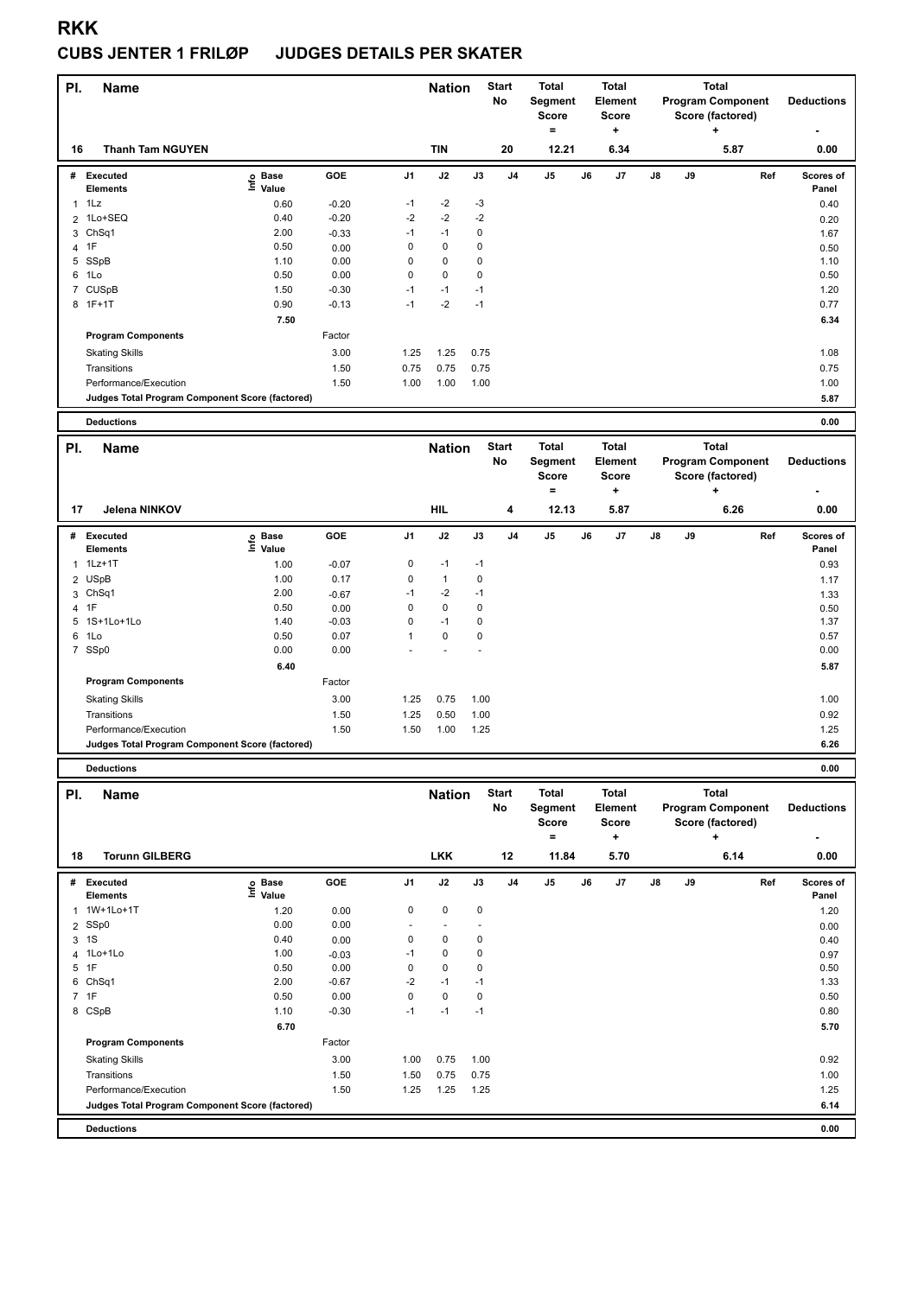### **CUBS JENTER 1 FRILØP JUDGES DETAILS PER SKATER**

| PI.            | <b>Name</b>                                     |                                                                   |                 |                | <b>Nation</b> |        | <b>Start</b><br>No | <b>Total</b><br>Segment<br>Score<br>$\equiv$ |    | <b>Total</b><br><b>Element</b><br>Score<br>÷   |    |    | <b>Total</b><br><b>Program Component</b><br>Score (factored)<br>÷ |     | <b>Deductions</b>  |
|----------------|-------------------------------------------------|-------------------------------------------------------------------|-----------------|----------------|---------------|--------|--------------------|----------------------------------------------|----|------------------------------------------------|----|----|-------------------------------------------------------------------|-----|--------------------|
| 16             | <b>Thanh Tam NGUYEN</b>                         |                                                                   |                 |                | <b>TIN</b>    |        | 20                 | 12.21                                        |    | 6.34                                           |    |    | 5.87                                                              |     | 0.00               |
| #              | <b>Executed</b><br><b>Elements</b>              | e Base<br>⊑ Value                                                 | GOE             | J1             | J2            | J3     | J <sub>4</sub>     | $\mathsf{J}5$                                | J6 | J7                                             | J8 | J9 |                                                                   | Ref | Scores of<br>Panel |
| $\mathbf{1}$   | 1Lz                                             | 0.60                                                              | $-0.20$         | $-1$           | $-2$          | -3     |                    |                                              |    |                                                |    |    |                                                                   |     | 0.40               |
| $\overline{2}$ | 1Lo+SEQ                                         | 0.40                                                              | $-0.20$         | $-2$           | $-2$          | $-2$   |                    |                                              |    |                                                |    |    |                                                                   |     | 0.20               |
| 3              | ChSq <sub>1</sub>                               | 2.00                                                              | $-0.33$         | $-1$           | $-1$          | 0      |                    |                                              |    |                                                |    |    |                                                                   |     | 1.67               |
|                | 4 1F                                            | 0.50                                                              | 0.00            | 0              | 0             | 0      |                    |                                              |    |                                                |    |    |                                                                   |     | 0.50               |
| 5              | SSpB                                            | 1.10                                                              | 0.00            | 0              | 0             | 0      |                    |                                              |    |                                                |    |    |                                                                   |     | 1.10               |
|                | 6 1Lo                                           | 0.50                                                              | 0.00            | 0              | 0             | 0      |                    |                                              |    |                                                |    |    |                                                                   |     | 0.50               |
| 7              | <b>CUSpB</b>                                    | 1.50                                                              | $-0.30$         | $-1$           | $-1$          | $-1$   |                    |                                              |    |                                                |    |    |                                                                   |     | 1.20               |
|                | 8 1F+1T                                         | 0.90                                                              | $-0.13$         | $-1$           | $-2$          | $-1$   |                    |                                              |    |                                                |    |    |                                                                   |     | 0.77               |
|                |                                                 | 7.50                                                              |                 |                |               |        |                    |                                              |    |                                                |    |    |                                                                   |     | 6.34               |
|                | <b>Program Components</b>                       |                                                                   | Factor          |                |               |        |                    |                                              |    |                                                |    |    |                                                                   |     |                    |
|                | <b>Skating Skills</b>                           |                                                                   | 3.00            | 1.25           | 1.25          | 0.75   |                    |                                              |    |                                                |    |    |                                                                   |     | 1.08               |
|                | Transitions                                     |                                                                   | 1.50            | 0.75           | 0.75          | 0.75   |                    |                                              |    |                                                |    |    |                                                                   |     | 0.75               |
|                | Performance/Execution                           |                                                                   | 1.50            | 1.00           | 1.00          | 1.00   |                    |                                              |    |                                                |    |    |                                                                   |     | 1.00               |
|                | Judges Total Program Component Score (factored) |                                                                   |                 |                |               |        |                    |                                              |    |                                                |    |    |                                                                   |     | 5.87               |
|                | <b>Deductions</b>                               |                                                                   |                 |                |               |        |                    |                                              |    |                                                |    |    |                                                                   |     | 0.00               |
| PI.            | Name                                            |                                                                   |                 |                | <b>Nation</b> |        | <b>Start</b><br>No | <b>Total</b><br>Segment<br>Score             |    | <b>Total</b><br><b>Element</b><br><b>Score</b> |    |    | <b>Total</b><br><b>Program Component</b><br>Score (factored)      |     | <b>Deductions</b>  |
| 17             | <b>Jelena NINKOV</b>                            |                                                                   |                 |                | <b>HIL</b>    |        | 4                  | $\equiv$<br>12.13                            |    | +<br>5.87                                      |    |    | +<br>6.26                                                         |     | 0.00               |
|                |                                                 |                                                                   |                 |                |               |        |                    |                                              |    |                                                |    |    |                                                                   |     |                    |
| #              | <b>Executed</b><br>Elements                     | e Base<br>⊑ Value                                                 | GOE             | J1             | J2            | J3     | J4                 | J5                                           | J6 | J7                                             | J8 | J9 |                                                                   | Ref | Scores of<br>Panel |
| $\mathbf{1}$   | $1Lz+1T$                                        | 1.00                                                              | $-0.07$         | 0              | $-1$          | $-1$   |                    |                                              |    |                                                |    |    |                                                                   |     | 0.93               |
| 2              | <b>USpB</b>                                     | 1.00                                                              | 0.17            | 0              | $\mathbf{1}$  | 0      |                    |                                              |    |                                                |    |    |                                                                   |     | 1.17               |
| 3              | Ch <sub>Sq1</sub>                               | 2.00                                                              | $-0.67$         | $-1$           | $-2$          | $-1$   |                    |                                              |    |                                                |    |    |                                                                   |     | 1.33               |
|                | 4 1F                                            | 0.50                                                              | 0.00            | 0              | $\pmb{0}$     | 0      |                    |                                              |    |                                                |    |    |                                                                   |     | 0.50               |
| 5              | 1S+1Lo+1Lo                                      | 1.40                                                              | $-0.03$         | 0              | $-1$          | 0      |                    |                                              |    |                                                |    |    |                                                                   |     | 1.37               |
|                | 6 1Lo                                           | 0.50                                                              | 0.07            | 1              | 0             | 0      |                    |                                              |    |                                                |    |    |                                                                   |     | 0.57               |
|                | 7 SSp0                                          | 0.00                                                              | 0.00            |                |               |        |                    |                                              |    |                                                |    |    |                                                                   |     | 0.00               |
|                |                                                 | 6.40                                                              |                 |                |               |        |                    |                                              |    |                                                |    |    |                                                                   |     | 5.87               |
|                | <b>Program Components</b>                       |                                                                   | Factor          |                |               |        |                    |                                              |    |                                                |    |    |                                                                   |     |                    |
|                | <b>Skating Skills</b>                           |                                                                   | 3.00            | 1.25           | 0.75          | 1.00   |                    |                                              |    |                                                |    |    |                                                                   |     | 1.00               |
|                | Transitions                                     |                                                                   | 1.50            | 1.25           | 0.50          | 1.00   |                    |                                              |    |                                                |    |    |                                                                   |     | 0.92               |
|                | Performance/Execution                           |                                                                   | 1.50            | 1.50           | 1.00          | 1.25   |                    |                                              |    |                                                |    |    |                                                                   |     | 1.25               |
|                | Judges Total Program Component Score (factored) |                                                                   |                 |                |               |        |                    |                                              |    |                                                |    |    |                                                                   |     | 6.26               |
|                | <b>Deductions</b>                               |                                                                   |                 |                |               |        |                    |                                              |    |                                                |    |    |                                                                   |     | 0.00               |
| PI.            | Name                                            |                                                                   |                 |                | <b>Nation</b> |        | <b>Start</b><br>No | <b>Total</b><br>Segment<br>Score<br>$\equiv$ |    | <b>Total</b><br>Element<br><b>Score</b><br>٠   |    |    | <b>Total</b><br><b>Program Component</b><br>Score (factored)<br>÷ |     | <b>Deductions</b>  |
| 18             | <b>Torunn GILBERG</b>                           |                                                                   |                 |                | <b>LKK</b>    |        | 12                 | 11.84                                        |    | 5.70                                           |    |    | 6.14                                                              |     | 0.00               |
|                | # Executed                                      | $\overset{\circ}{\equiv}$ Pase<br>$\overset{\circ}{\equiv}$ Value | GOE             | J <sub>1</sub> | J2            | J3     | J4                 | J5                                           | J6 | J7                                             | J8 | J9 |                                                                   | Ref | Scores of          |
|                | Elements                                        |                                                                   |                 |                |               |        |                    |                                              |    |                                                |    |    |                                                                   |     | Panel              |
| 1              | 1W+1Lo+1T                                       | 1.20                                                              | 0.00            | 0              | $\pmb{0}$     | 0      |                    |                                              |    |                                                |    |    |                                                                   |     | 1.20               |
| $\overline{2}$ | SSp0                                            | 0.00                                                              | 0.00            | $\sim$         |               |        |                    |                                              |    |                                                |    |    |                                                                   |     | 0.00               |
|                | 3 1S                                            | 0.40<br>1.00                                                      | 0.00            | 0<br>$-1$      | 0<br>0        | 0<br>0 |                    |                                              |    |                                                |    |    |                                                                   |     | 0.40               |
| 4              | 1Lo+1Lo<br>5 1F                                 | 0.50                                                              | $-0.03$<br>0.00 | 0              | 0             | 0      |                    |                                              |    |                                                |    |    |                                                                   |     | 0.97<br>0.50       |
|                | 6 ChSq1                                         | 2.00                                                              | $-0.67$         | $-2$           | $-1$          | $-1$   |                    |                                              |    |                                                |    |    |                                                                   |     | 1.33               |
|                | 7 1F                                            | 0.50                                                              | 0.00            | 0              | $\pmb{0}$     | 0      |                    |                                              |    |                                                |    |    |                                                                   |     | 0.50               |
|                | 8 CSpB                                          | 1.10                                                              | $-0.30$         | $-1$           | $-1$          | $-1$   |                    |                                              |    |                                                |    |    |                                                                   |     | 0.80               |
|                |                                                 | 6.70                                                              |                 |                |               |        |                    |                                              |    |                                                |    |    |                                                                   |     | 5.70               |
|                | <b>Program Components</b>                       |                                                                   | Factor          |                |               |        |                    |                                              |    |                                                |    |    |                                                                   |     |                    |
|                | <b>Skating Skills</b>                           |                                                                   | 3.00            | 1.00           | 0.75          | 1.00   |                    |                                              |    |                                                |    |    |                                                                   |     | 0.92               |
|                | Transitions                                     |                                                                   | 1.50            | 1.50           | 0.75          | 0.75   |                    |                                              |    |                                                |    |    |                                                                   |     | 1.00               |
|                | Performance/Execution                           |                                                                   | 1.50            | 1.25           | 1.25          | 1.25   |                    |                                              |    |                                                |    |    |                                                                   |     | 1.25               |
|                | Judges Total Program Component Score (factored) |                                                                   |                 |                |               |        |                    |                                              |    |                                                |    |    |                                                                   |     | 6.14               |
|                |                                                 |                                                                   |                 |                |               |        |                    |                                              |    |                                                |    |    |                                                                   |     |                    |

**Deductions 0.00**